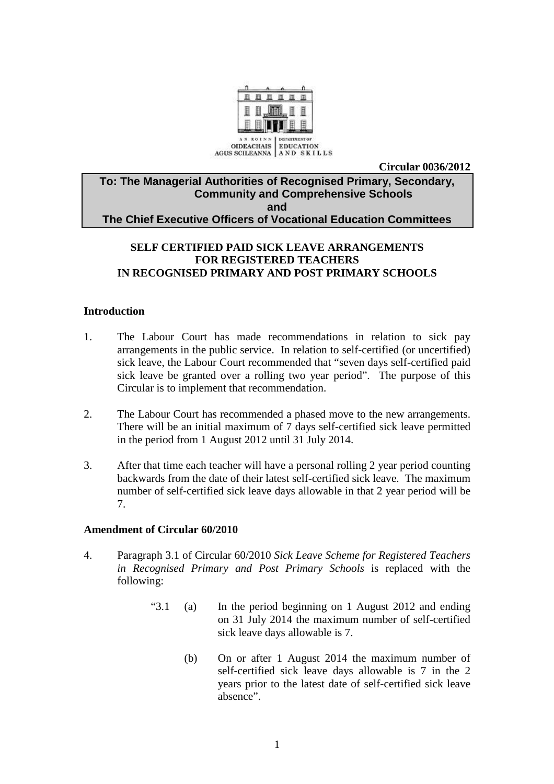

**Circular 0036/2012** 

### **To: The Managerial Authorities of Recognised Primary, Secondary, Community and Comprehensive Schools and The Chief Executive Officers of Vocational Education Committees**

# **SELF CERTIFIED PAID SICK LEAVE ARRANGEMENTS FOR REGISTERED TEACHERS IN RECOGNISED PRIMARY AND POST PRIMARY SCHOOLS**

### **Introduction**

- 1. The Labour Court has made recommendations in relation to sick pay arrangements in the public service. In relation to self-certified (or uncertified) sick leave, the Labour Court recommended that "seven days self-certified paid sick leave be granted over a rolling two year period". The purpose of this Circular is to implement that recommendation.
- 2. The Labour Court has recommended a phased move to the new arrangements. There will be an initial maximum of 7 days self-certified sick leave permitted in the period from 1 August 2012 until 31 July 2014.
- 3. After that time each teacher will have a personal rolling 2 year period counting backwards from the date of their latest self-certified sick leave. The maximum number of self-certified sick leave days allowable in that 2 year period will be 7.

#### **Amendment of Circular 60/2010**

- 4. Paragraph 3.1 of Circular 60/2010 *Sick Leave Scheme for Registered Teachers in Recognised Primary and Post Primary Schools* is replaced with the following:
	- "3.1 (a) In the period beginning on 1 August 2012 and ending on 31 July 2014 the maximum number of self-certified sick leave days allowable is 7.
		- (b) On or after 1 August 2014 the maximum number of self-certified sick leave days allowable is 7 in the 2 years prior to the latest date of self-certified sick leave absence".